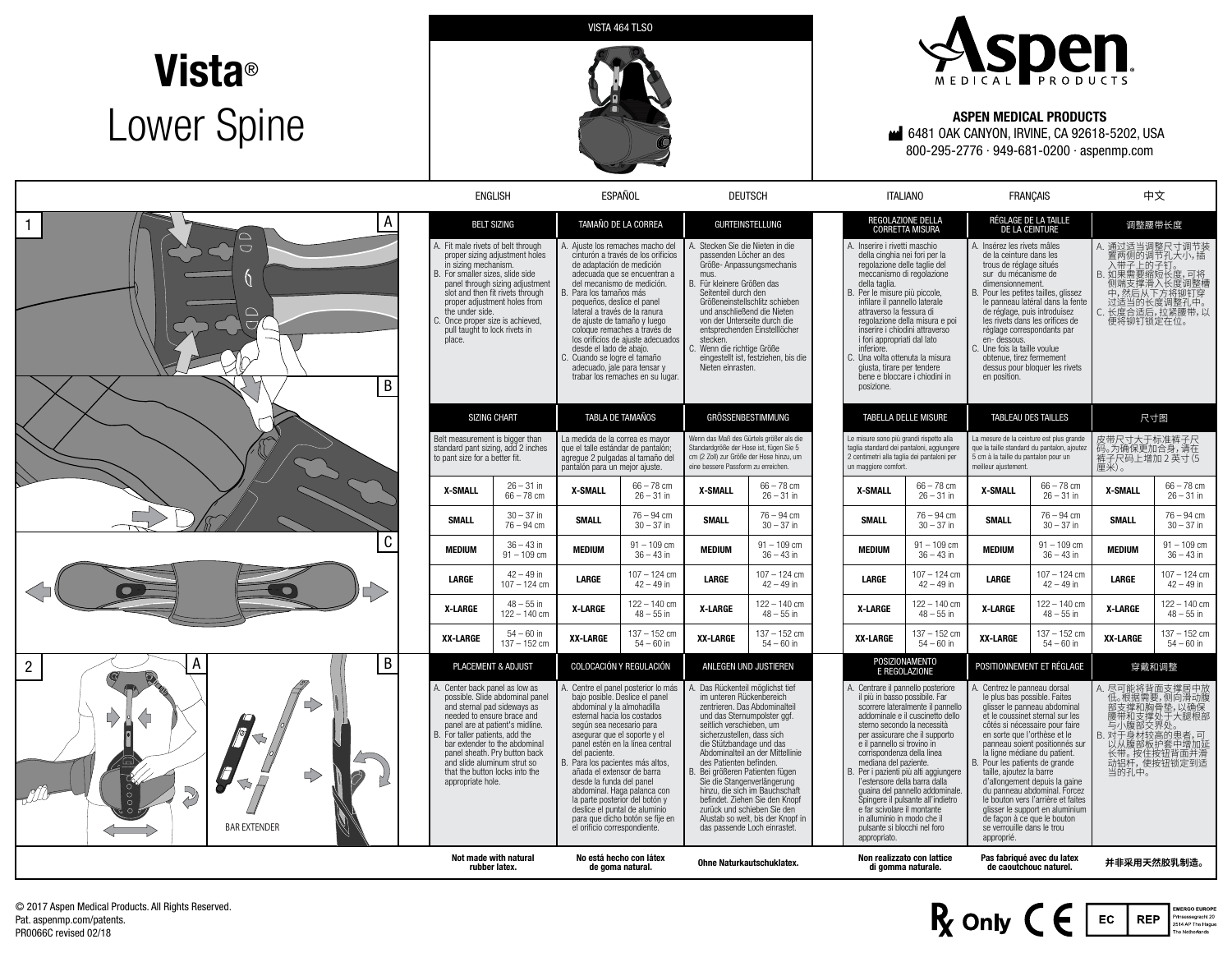## **Vista**® Lower Spine





## ASPEN MEDICAL PRODUCTS

6481 OAK CANYON, IRVINE, CA 92618-5202, USA 800-295-2776 ∙ 949-681-0200 ∙ aspenmp.com

|                                                               |                                                                                                                                                                                                                                                                                                                                                           | <b>ENGLISH</b>                                               |                                                                                                                                                                                                                                                                                                                                                                                                                                                                                                                      | ESPAÑOL                                                      |                                                                                                                                                                                                                                                                                                                                                                                                                        | <b>DEUTSCH</b>                                   |                                                                                                                                                                                                                                                                                                                                                                                                                                                                                                                            | <b>ITALIANO</b>                                                                                                                                                                                                                                                                                  |                                                                                                                                                                                                                                                                                                                                                                                                                                                                                  | <b>FRANCAIS</b>                                              |                                                                                                                                                    | 中文                                                           |  |
|---------------------------------------------------------------|-----------------------------------------------------------------------------------------------------------------------------------------------------------------------------------------------------------------------------------------------------------------------------------------------------------------------------------------------------------|--------------------------------------------------------------|----------------------------------------------------------------------------------------------------------------------------------------------------------------------------------------------------------------------------------------------------------------------------------------------------------------------------------------------------------------------------------------------------------------------------------------------------------------------------------------------------------------------|--------------------------------------------------------------|------------------------------------------------------------------------------------------------------------------------------------------------------------------------------------------------------------------------------------------------------------------------------------------------------------------------------------------------------------------------------------------------------------------------|--------------------------------------------------|----------------------------------------------------------------------------------------------------------------------------------------------------------------------------------------------------------------------------------------------------------------------------------------------------------------------------------------------------------------------------------------------------------------------------------------------------------------------------------------------------------------------------|--------------------------------------------------------------------------------------------------------------------------------------------------------------------------------------------------------------------------------------------------------------------------------------------------|----------------------------------------------------------------------------------------------------------------------------------------------------------------------------------------------------------------------------------------------------------------------------------------------------------------------------------------------------------------------------------------------------------------------------------------------------------------------------------|--------------------------------------------------------------|----------------------------------------------------------------------------------------------------------------------------------------------------|--------------------------------------------------------------|--|
| A<br>$\mathbf{1}$<br>$\overline{\phantom{0}}$<br>B            | <b>BELT SIZING</b><br>A. Fit male rivets of belt through<br>proper sizing adjustment holes<br>in sizing mechanism.<br>For smaller sizes, slide side<br>panel through sizing adjustment<br>slot and then fit rivets through<br>proper adjustment holes from<br>the under side.<br>Once proper size is achieved.<br>pull taught to lock rivets in<br>place. |                                                              | TAMAÑO DE LA CORREA<br>A. Ajuste los remaches macho del<br>cinturón a través de los orificios<br>de adaptación de medición<br>adecuada que se encuentran a<br>del mecanismo de medición.<br>. Para los tamaños más<br>pequeños, deslice el panel<br>lateral a través de la ranura<br>de aiuste de tamaño y luego<br>cologue remaches a través de<br>los orificios de aiuste adecuados<br>desde el lado de abajo.<br>C. Cuando se logre el tamaño<br>adecuado, jale para tensar y<br>trabar los remaches en su lugar. |                                                              | <b>GURTEINSTELLUNG</b><br>A. Stecken Sie die Nieten in die<br>passenden Löcher an des<br>Größe- Anpassungsmechanis<br>mus.<br>B. Für kleinere Größen das<br>Seitenteil durch den<br>Größeneinstellschlitz schieben<br>und anschließend die Nieten<br>von der Unterseite durch die<br>entsprechenden Einstelllöcher<br>stecken.<br>Wenn die richtige Größe<br>eingestellt ist, festziehen, bis die<br>Nieten einrasten. |                                                  | REGOLAZIONE DELLA<br><b>CORRETTA MISURA</b><br>A. Inserire i rivetti maschio<br>della cinghia nei fori per la<br>regolazione delle taglie del<br>meccanismo di regolazione<br>della taglia.<br>B. Per le misure più piccole,<br>infilare il pannello laterale<br>attraverso la fessura di<br>regolazione della misura e poi<br>inserire i chiodini attraverso<br>i fori appropriati dal lato<br>inferiore.<br>C. Una volta ottenuta la misura<br>giusta, tirare per tendere<br>bene e bloccare i chiodini in<br>posizione. |                                                                                                                                                                                                                                                                                                  | RÉGLAGE DE LA TAILLE<br>DE LA CEINTURE<br>A. Insérez les rivets mâles<br>de la ceinture dans les<br>trous de réglage situés<br>sur du mécanisme de<br>dimensionnement.<br>B. Pour les petites tailles, glissez<br>le panneau latéral dans la fente<br>de réglage, puis introduisez<br>les rivets dans les orifices de<br>réglage correspondants par<br>en-dessous.<br>C. Une fois la taille voulue<br>obtenue, tirez fermement<br>dessus pour bloquer les rivets<br>en position. |                                                              | 调整腰带长度<br>A. 通过适当调整尺寸调节装<br>置两侧的调节孔大小,插<br>入带子上的子钉。<br>B. 如果需要缩短长度,可将<br>侧端支撑滑入长度调整槽<br>中,然后从下方将铆钉穿<br>过适当的长度调整孔中。<br>C. 长度合适后,拉紧腰带,以<br>便将铆钉锁定在位。 |                                                              |  |
|                                                               | <b>SIZING CHART</b><br>Belt measurement is bigger than<br>standard pant sizing, add 2 inches<br>to pant size for a better fit.                                                                                                                                                                                                                            |                                                              | TABLA DE TAMAÑOS<br>La medida de la correa es mayor<br>que el talle estándar de pantalón;<br>agregue 2 pulgadas al tamaño del<br>pantalón para un mejor ajuste.                                                                                                                                                                                                                                                                                                                                                      |                                                              | GRÖSSENBESTIMMUNG<br>Wenn das Maß des Gürtels größer als die<br>Standardgröße der Hose ist, fügen Sie 5<br>cm (2 Zoll) zur Größe der Hose hinzu, um<br>eine bessere Passform zu erreichen.                                                                                                                                                                                                                             |                                                  | <b>TABELLA DELLE MISURE</b><br>Le misure sono più grandi rispetto alla<br>taglia standard dei pantaloni, aggiungere<br>2 centimetri alla taglia dei pantaloni per<br>un maggiore comfort.                                                                                                                                                                                                                                                                                                                                  |                                                                                                                                                                                                                                                                                                  | <b>TABLEAU DES TAILLES</b><br>La mesure de la ceinture est plus grande<br>que la taille standard du pantalon, ajoutez<br>5 cm à la taille du pantalon pour un<br>meilleur aiustement.                                                                                                                                                                                                                                                                                            |                                                              | 尺寸图<br>皮带尺寸大于标准裤子尺<br>码。为确保更加合身,请在<br>裤子尺码上增加2英寸(5<br>厘米)。                                                                                         |                                                              |  |
|                                                               | <b>X-SMALL</b><br><b>SMALL</b>                                                                                                                                                                                                                                                                                                                            | $26 - 31$ in<br>$66 - 78$ cm<br>$30 - 37$ in<br>$76 - 94$ cm | <b>X-SMALL</b><br><b>SMALL</b>                                                                                                                                                                                                                                                                                                                                                                                                                                                                                       | $66 - 78$ cm<br>$26 - 31$ in<br>$76 - 94$ cm<br>$30 - 37$ in | <b>X-SMALL</b><br><b>SMALL</b>                                                                                                                                                                                                                                                                                                                                                                                         | $66 - 78$ cm<br>$26 - 31$ in<br>$76 - 94$ cm     | X-SMALL<br><b>SMALL</b>                                                                                                                                                                                                                                                                                                                                                                                                                                                                                                    | $66 - 78$ cm<br>$26 - 31$ in<br>$76 - 94$ cm<br>$30 - 37$ in                                                                                                                                                                                                                                     | <b>X-SMALL</b><br><b>SMALL</b>                                                                                                                                                                                                                                                                                                                                                                                                                                                   | $66 - 78$ cm<br>$26 - 31$ in<br>$76 - 94$ cm<br>$30 - 37$ in | <b>X-SMALL</b><br><b>SMALL</b>                                                                                                                     | $66 - 78$ cm<br>$26 - 31$ in<br>$76 - 94$ cm<br>$30 - 37$ in |  |
| C                                                             | <b>MEDIUM</b>                                                                                                                                                                                                                                                                                                                                             | $36 - 43$ in<br>$91 - 109$ cm                                | <b>MEDIUM</b>                                                                                                                                                                                                                                                                                                                                                                                                                                                                                                        | $91 - 109$ cm<br>$36 - 43$ in                                | <b>MEDIUM</b>                                                                                                                                                                                                                                                                                                                                                                                                          | $30 - 37$ in<br>$91 - 109$ cm<br>$36 - 43$ in    | <b>MEDIUM</b>                                                                                                                                                                                                                                                                                                                                                                                                                                                                                                              | $91 - 109$ cm<br>$36 - 43$ in                                                                                                                                                                                                                                                                    | <b>MEDIUM</b>                                                                                                                                                                                                                                                                                                                                                                                                                                                                    | $91 - 109$ cm<br>$36 - 43$ in                                | <b>MEDIUM</b>                                                                                                                                      | $91 - 109$ cm<br>$36 - 43$ in                                |  |
| B<br>А<br>$\overline{c}$<br>$\boldsymbol{Q}$<br>D)            | LARGE                                                                                                                                                                                                                                                                                                                                                     | $42 - 49$ in<br>$107 - 124$ cm<br>$48 - 55$ in               | LARGE                                                                                                                                                                                                                                                                                                                                                                                                                                                                                                                | $107 - 124$ cm<br>$42 - 49$ in<br>122 - 140 cm               | LARGE                                                                                                                                                                                                                                                                                                                                                                                                                  | $107 - 124$ cm<br>$42 - 49$ in<br>$122 - 140$ cm | LARGE                                                                                                                                                                                                                                                                                                                                                                                                                                                                                                                      | $107 - 124$ cm<br>$42 - 49$ in<br>$122 - 140$ cm                                                                                                                                                                                                                                                 | LARGE                                                                                                                                                                                                                                                                                                                                                                                                                                                                            | 107 - 124 cm<br>$42 - 49$ in<br>122 - 140 cm                 | LARGE                                                                                                                                              | $107 - 124$ cm<br>$42 - 49$ in<br>122 - 140 cm               |  |
|                                                               | <b>X-LARGE</b><br><b>XX-LARGE</b>                                                                                                                                                                                                                                                                                                                         | $122 - 140$ cm<br>$54 - 60$ in<br>$137 - 152$ cm             | <b>X-LARGE</b><br>XX-LARGE                                                                                                                                                                                                                                                                                                                                                                                                                                                                                           | $48 - 55$ in<br>$137 - 152$ cm<br>$54 - 60$ in               | X-LARGE<br>XX-LARGE                                                                                                                                                                                                                                                                                                                                                                                                    | $48 - 55$ in<br>$137 - 152$ cm<br>$54 - 60$ in   | X-LARGE<br><b>XX-LARGE</b>                                                                                                                                                                                                                                                                                                                                                                                                                                                                                                 | $48 - 55$ in<br>$137 - 152$ cm<br>$54 - 60$ in                                                                                                                                                                                                                                                   | X-LARGE<br>XX-LARGE                                                                                                                                                                                                                                                                                                                                                                                                                                                              | $48 - 55$ in<br>$137 - 152$ cm<br>$54 - 60$ in               | X-LARGE<br>XX-LARGE                                                                                                                                | $48 - 55$ in<br>$137 - 152$ cm<br>$54 - 60$ in               |  |
|                                                               | PLACEMENT & ADJUST<br>Center back panel as low as<br>possible. Slide abdominal panel<br>and sternal pad sideways as<br>needed to ensure brace and<br>panel are at patient's midline.<br>B. For taller patients, add the<br>bar extender to the abdominal<br>panel sheath. Prv button back<br>and slide aluminum strut so                                  |                                                              | COLOCACIÓN Y REGULACIÓN<br>. Centre el panel posterior lo más<br>bajo posible. Deslice el panel<br>abdominal y la almohadilla<br>esternal hacia los costados<br>según sea necesario para<br>asegurar que el soporte y el<br>panel estén en la línea central<br>del paciente.<br>B. Para los pacientes más altos.                                                                                                                                                                                                     |                                                              | ANLEGEN UND JUSTIEREN<br>Das Rückenteil möglichst tief<br>im unteren Rückenbereich<br>zentrieren. Das Abdominalteil<br>und das Sternumpolster ggf.<br>seitlich verschieben, um<br>sicherzustellen, dass sich<br>die Stützbandage und das<br>Abdominalteil an der Mittellinie<br>des Patienten befinden.                                                                                                                |                                                  | POSIZIONAMENTO<br><b>E REGOLAZIONE</b><br>A. Centrare il pannello posteriore<br>il più in basso possibile. Far<br>scorrere lateralmente il pannello<br>addominale e il cuscinetto dello<br>sterno secondo la necessità<br>per assicurare che il supporto<br>e il pannello si trovino in<br>corrispondenza della linea<br>mediana del paziente.                                                                                                                                                                             |                                                                                                                                                                                                                                                                                                  | POSITIONNEMENT ET RÉGLAGE<br>Centrez le panneau dorsal<br>le plus bas possible. Faites<br>glisser le panneau abdominal<br>et le coussinet sternal sur les<br>côtés si nécessaire pour faire<br>en sorte que l'orthèse et le<br>panneau soient positionnés sur<br>la ligne médiane du patient.<br>3. Pour les patients de grande                                                                                                                                                  |                                                              | 穿戴和调整<br>A. 尽可能将背面支撑居中放<br>低。根据需要,侧向滑动腹<br>部支撑和胸骨垫,以确保<br>腰带和支撑处于大腿根部<br>与小腹部交界处。<br>B. 对于身材较高的患者,可<br>以从腹部板护套中增加延<br>长带。按住按钮背面并滑<br>动铝杆,使按钮锁定到适   |                                                              |  |
| /7,<br>$\Rightarrow$<br>$\heartsuit$ .<br><b>BAR EXTENDER</b> | that the button locks into the<br>appropriate hole.<br>Not made with natural<br>rubber latex.                                                                                                                                                                                                                                                             |                                                              | añada el extensor de barra<br>desde la funda del panel<br>abdominal. Haga palanca con<br>la parte posterior del botón y<br>deslice el puntal de aluminio<br>para que dicho botón se fije en<br>el orificio correspondiente.<br>No está hecho con látex<br>de goma natural.                                                                                                                                                                                                                                           |                                                              | B. Bei arößeren Patienten fügen<br>Sie die Stangenverlängerung<br>hinzu, die sich im Bauchschaft<br>befindet. Ziehen Sie den Knopf<br>zurück und schieben Sie den<br>Alustab so weit, bis der Knopf in<br>das passende Loch einrastet.<br>Ohne Naturkautschuklatex.                                                                                                                                                    |                                                  | appropriato.                                                                                                                                                                                                                                                                                                                                                                                                                                                                                                               | B. Per i pazienti più alti aggiungere<br>l'estensore della barra dalla<br>quaina del pannello addominale.<br>Spingere il pulsante all'indietro<br>e far scivolare il montante<br>in alluminio in modo che il<br>pulsante si blocchi nel foro<br>Non realizzato con lattice<br>di gomma naturale. | taille, aioutez la barre<br>d'allongement depuis la gaine<br>du panneau abdominal. Forcez<br>le bouton vers l'arrière et faites<br>glisser le support en aluminium<br>de façon à ce que le bouton<br>se verrouille dans le trou<br>approprié.<br>Pas fabriqué avec du latex<br>de caoutchouc naturel.                                                                                                                                                                            |                                                              | 当的孔中。                                                                                                                                              | 并非采用天然胶乳制造。                                                  |  |

© 2017 Aspen Medical Products. All Rights Reserved. Pat. aspenmp.com/patents. PR0066C revised 02/18